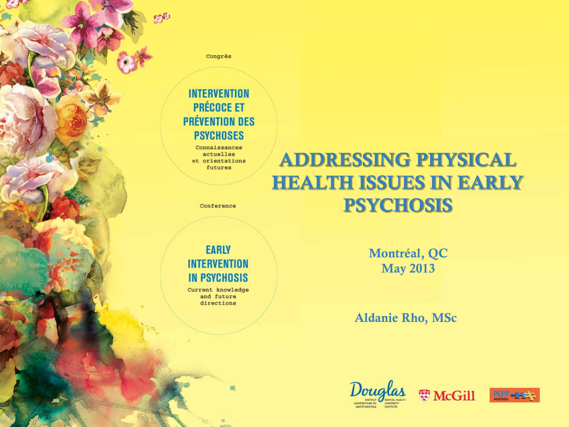Congrès

go

#### **INTERVENTION PRÉCOCE ET PRÉVENTION DES PSYCHOSES**

Connaissances actuelles et orientations futures

#### Conference

#### **EARLY INTERVENTION IN PSYCHOSIS**

Current knowledge and future directions

**Montréal, QC May 2013**

**ADDRESSING PHYSICAL** 

**HEALTH ISSUES IN EARLY** 

**PSYCHOSIS**

**Aldanie Rho, MSc**





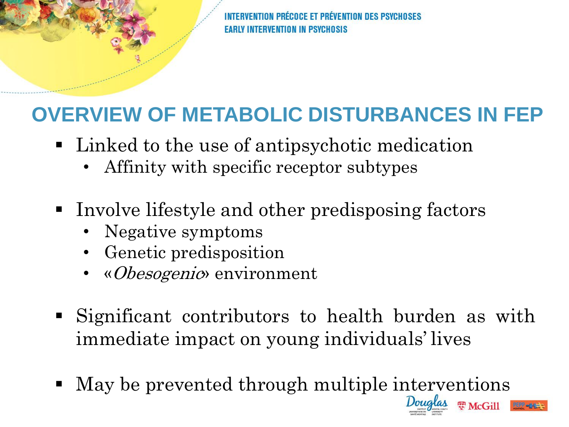ÉCOCE ET PRÉVENTION DES PSVCHO **FARLY INTERVENTION IN PSYCHOSIS** 

# **OVERVIEW OF METABOLIC DISTURBANCES IN FEP**

- Linked to the use of antipsychotic medication
	- Affinity with specific receptor subtypes
- Involve lifestyle and other predisposing factors
	- Negative symptoms
	- Genetic predisposition
	- «Obesogenic» environment
- Significant contributors to health burden as with immediate impact on young individuals' lives
- May be prevented through multiple interventions



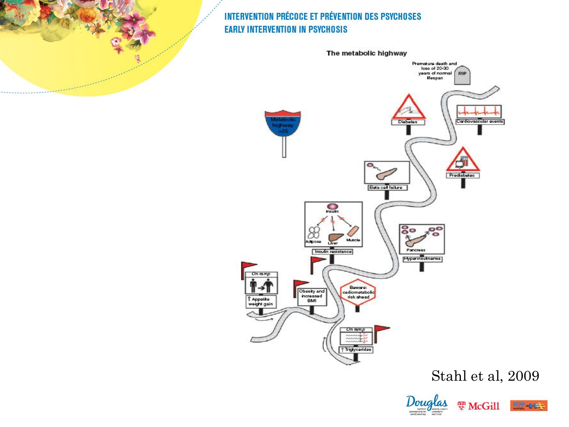

Stahl et al, 2009



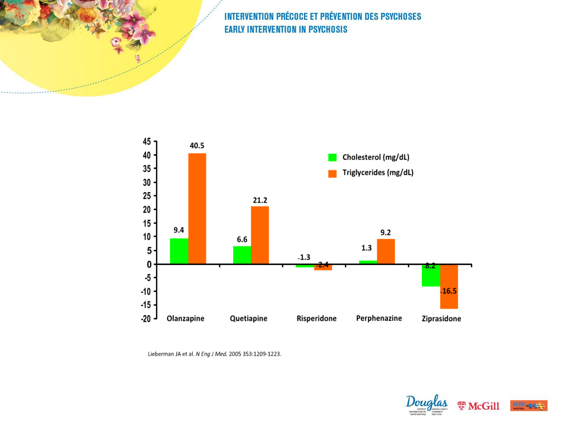

Lieberman JA et al. N Eng J Med. 2005 353:1209-1223.

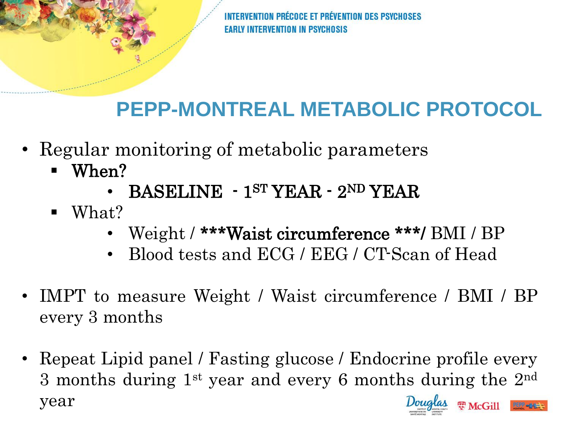# **PEPP-MONTREAL METABOLIC PROTOCOL**

- Regular monitoring of metabolic parameters
	- When?
		- $\cdot$  BASELINE  $\cdot$  1<sup>ST</sup> YEAR  $\cdot$  2<sup>ND</sup> YEAR
	- What?
		- Weight / \*\*\*Waist circumference \*\*\*/ BMI / BP
		- Blood tests and ECG / EEG / CT-Scan of Head
- IMPT to measure Weight / Waist circumference / BMI / BP every 3 months
- Repeat Lipid panel / Fasting glucose / Endocrine profile every 3 months during 1<sup>st</sup> year and every 6 months during the 2<sup>nd</sup> year思 McGill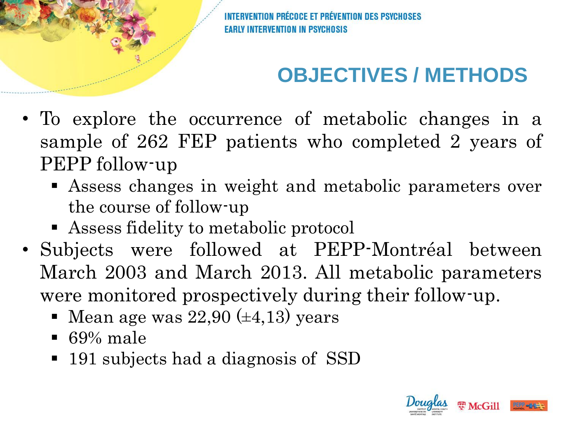ÉCOCE ET PRÉVENTION DES PSYCHOSES **FARLY INTERVENTION IN PSYCHOSIS** 

# **OBJECTIVES / METHODS**

- To explore the occurrence of metabolic changes in a sample of 262 FEP patients who completed 2 years of PEPP follow-up
	- Assess changes in weight and metabolic parameters over the course of follow-up
	- Assess fidelity to metabolic protocol
- Subjects were followed at PEPP-Montréal between March 2003 and March 2013. All metabolic parameters were monitored prospectively during their follow-up.
	- $\blacksquare$  Mean age was 22,90 ( $\pm$ 4,13) years
	- $\blacksquare$  69% male
	- 191 subjects had a diagnosis of SSD

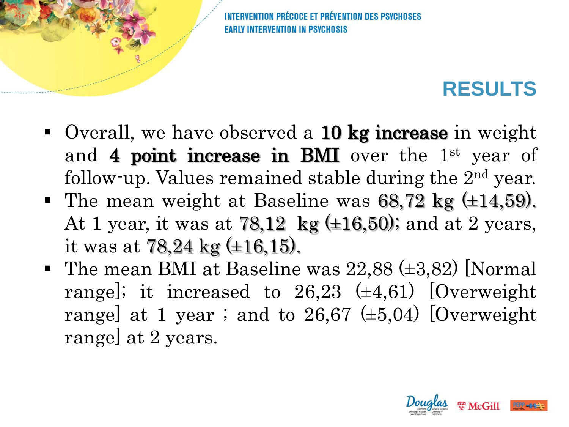**FARLY INTERVENTION IN PSYCHOSIS** 

#### **RESULTS**

- Overall, we have observed a **10 kg increase** in weight and 4 point increase in BMI over the  $1<sup>st</sup>$  year of follow-up. Values remained stable during the 2<sup>nd</sup> year.
- The mean weight at Baseline was  $68,72$  kg  $(\pm 14,59)$ . At 1 year, it was at  $78,12 \text{ kg }(\pm 16,50)$ ; and at 2 years, it was at 78,24 kg  $(\pm 16, 15)$ .
- The mean BMI at Baseline was  $22,88 \ (\pm 3,82)$  [Normal range]; it increased to  $26,23 \ (\pm 4,61)$  [Overweight range] at 1 year ; and to 26,67  $(\pm 5.04)$  [Overweight range] at 2 years.

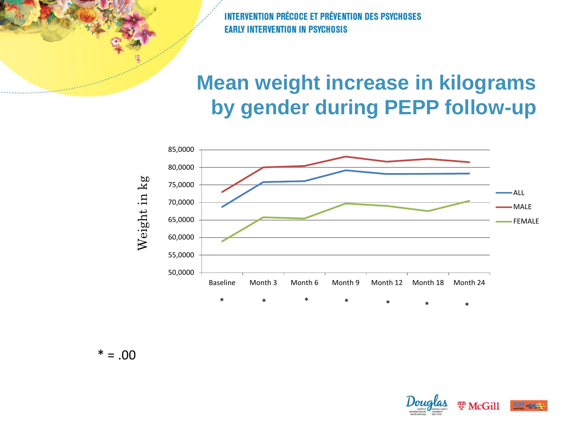### **Mean weight increase in kilograms by gender during PEPP follow-up**



 $* = .00$ 

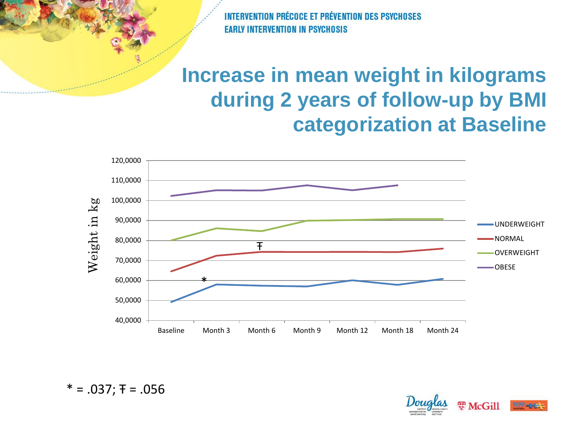#### **Increase in mean weight in kilograms during 2 years of follow-up by BMI categorization at Baseline**



 $* = .037;$   $\overline{ } = .056$ 

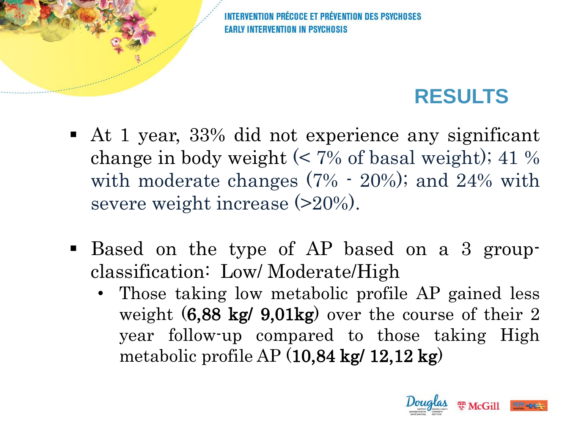**ÉCOCE ET PRÉVENTION DES PSYCH FARLY INTERVENTION IN PSYCHOSIS** 

### **RESULTS**

- At 1 year, 33% did not experience any significant change in body weight  $\ll 7\%$  of basal weight); 41 % with moderate changes (7% - 20%); and 24% with severe weight increase (>20%).
- Based on the type of AP based on a 3 groupclassification: Low/ Moderate/High
	- Those taking low metabolic profile AP gained less weight (6,88 kg/ 9,01kg) over the course of their 2 year follow-up compared to those taking High metabolic profile  $AP(10,84 \text{ kg}/12,12 \text{ kg})$

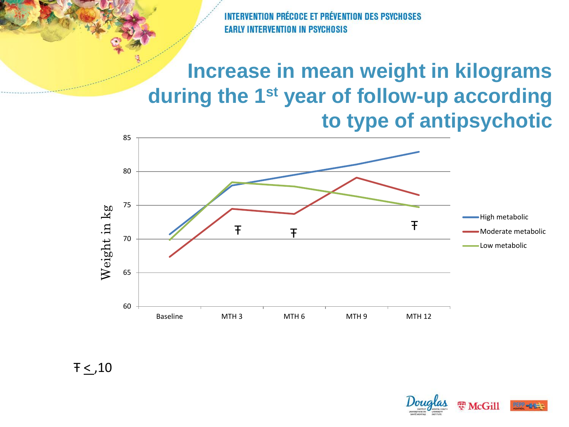### **Increase in mean weight in kilograms during the 1st year of follow-up according to type of antipsychotic**



 $F \leq .10$ 

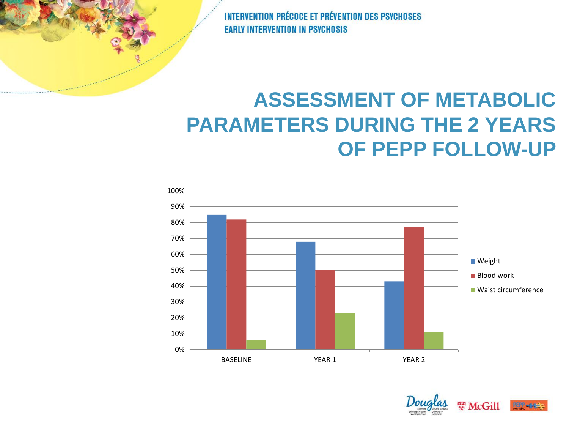## **ASSESSMENT OF METABOLIC PARAMETERS DURING THE 2 YEARS OF PEPP FOLLOW-UP**



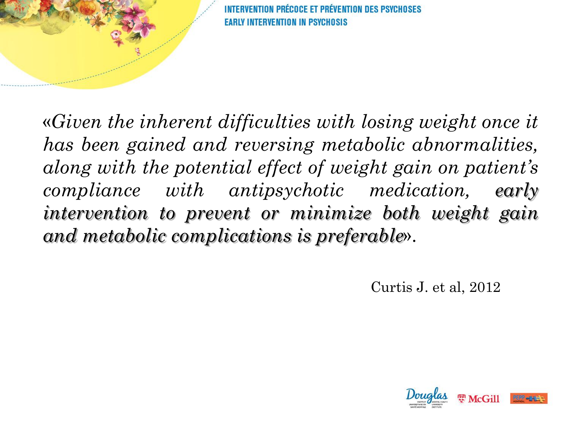

PRÉCOCE ET PRÉVENTION DES PSYCHOSES **INTERVENTION IN PSYCHOSIS** 

«*Given the inherent difficulties with losing weight once it has been gained and reversing metabolic abnormalities, along with the potential effect of weight gain on patient's compliance with antipsychotic medication, early intervention to prevent or minimize both weight gain and metabolic complications is preferable*».

Curtis J. et al, 2012

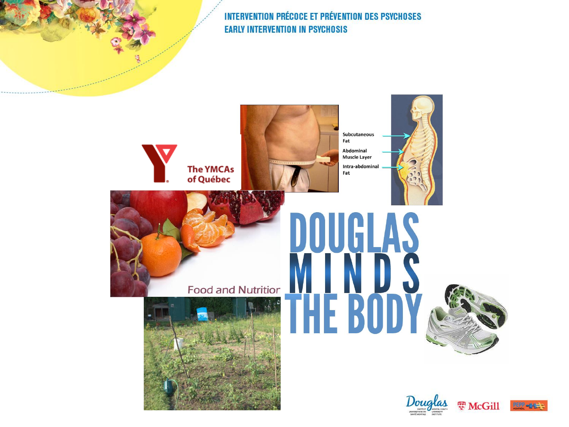

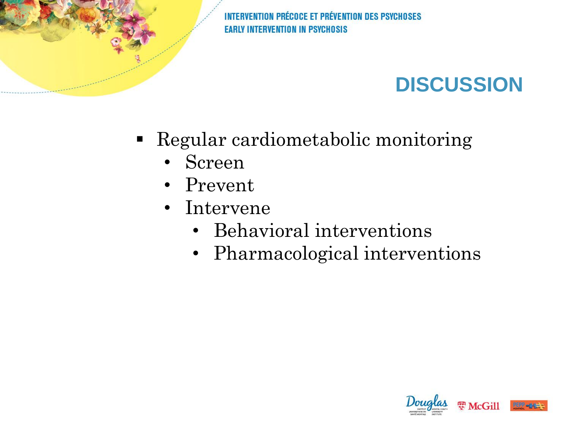## **DISCUSSION**

- Regular cardiometabolic monitoring
	- Screen
	- Prevent
	- Intervene
		- Behavioral interventions
		- Pharmacological interventions

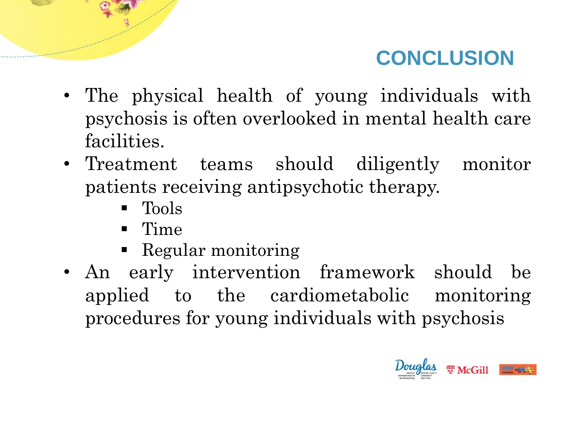### **CONCLUSION**

- The physical health of young individuals with psychosis is often overlooked in mental health care facilities.
- Treatment teams should diligently monitor patients receiving antipsychotic therapy.
	- **Theory**
	- $\blacksquare$  Time
	- Regular monitoring
- An early intervention framework should be applied to the cardiometabolic monitoring procedures for young individuals with psychosis